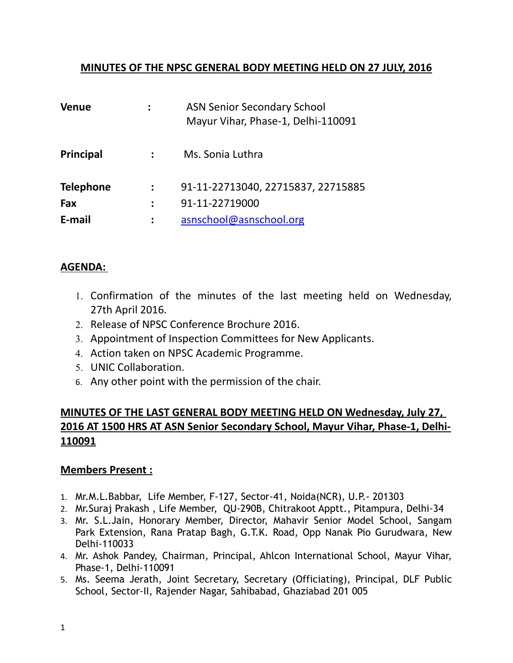## **MINUTES OF THE NPSC GENERAL BODY MEETING HELD ON 27 JULY, 2016**

| <b>Venue</b>     | <b>ASN Senior Secondary School</b><br>Mayur Vihar, Phase-1, Delhi-110091 |
|------------------|--------------------------------------------------------------------------|
| <b>Principal</b> | Ms. Sonia Luthra                                                         |
| <b>Telephone</b> | 91-11-22713040, 22715837, 22715885                                       |
| Fax              | 91-11-22719000                                                           |
| E-mail           | asnschool@asnschool.org                                                  |

#### **AGENDA:**

- 1. Confirmation of the minutes of the last meeting held on Wednesday, 27th April 2016.
- 2. Release of NPSC Conference Brochure 2016.
- 3. Appointment of Inspection Committees for New Applicants.
- 4. Action taken on NPSC Academic Programme.
- 5. UNIC Collaboration.
- 6. Any other point with the permission of the chair.

# **MINUTES OF THE LAST GENERAL BODY MEETING HELD ON Wednesday, July 27, 2016 AT 1500 HRS AT ASN Senior Secondary School, Mayur Vihar, Phase-1, Delhi-110091**

#### **Members Present :**

- 1. Mr.M.L.Babbar, Life Member, F-127, Sector-41, Noida(NCR), U.P.- 201303
- 2. Mr.Suraj Prakash , Life Member, QU-290B, Chitrakoot Apptt., Pitampura, Delhi-34
- 3. Mr. S.L.Jain, Honorary Member, Director, Mahavir Senior Model School, Sangam Park Extension, Rana Pratap Bagh, G.T.K. Road, Opp Nanak Pio Gurudwara, New Delhi-110033
- 4. Mr. Ashok Pandey, Chairman, Principal, Ahlcon International School, Mayur Vihar, Phase-1, Delhi-110091
- 5. Ms. Seema Jerath, Joint Secretary, Secretary (Officiating), Principal, DLF Public School, Sector-II, Rajender Nagar, Sahibabad, Ghaziabad 201 005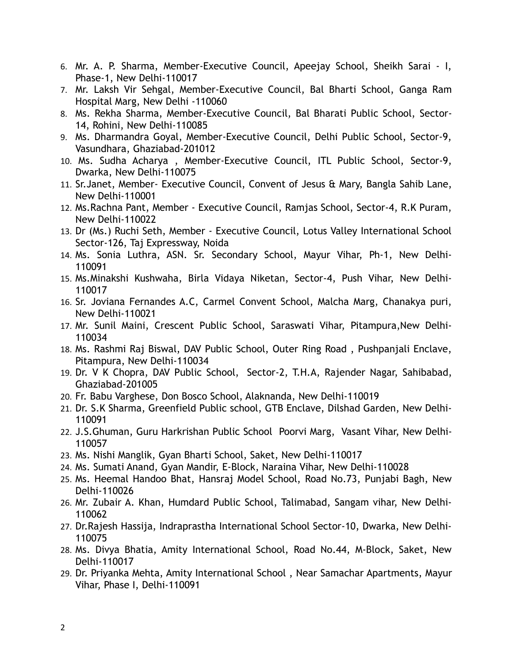- 6. Mr. A. P. Sharma, Member-Executive Council, Apeejay School, Sheikh Sarai I, Phase-1, New Delhi-110017
- 7. Mr. Laksh Vir Sehgal, Member-Executive Council, Bal Bharti School, Ganga Ram Hospital Marg, New Delhi -110060
- 8. Ms. Rekha Sharma, Member-Executive Council, Bal Bharati Public School, Sector-14, Rohini, New Delhi-110085
- 9. Ms. Dharmandra Goyal, Member-Executive Council, Delhi Public School, Sector-9, Vasundhara, Ghaziabad-201012
- 10. Ms. Sudha Acharya , Member-Executive Council, ITL Public School, Sector-9, Dwarka, New Delhi-110075
- 11. Sr.Janet, Member- Executive Council, Convent of Jesus & Mary, Bangla Sahib Lane, New Delhi-110001
- 12. Ms.Rachna Pant, Member Executive Council, Ramjas School, Sector-4, R.K Puram, New Delhi-110022
- 13. Dr (Ms.) Ruchi Seth, Member Executive Council, Lotus Valley International School Sector-126, Taj Expressway, Noida
- 14. Ms. Sonia Luthra, ASN. Sr. Secondary School, Mayur Vihar, Ph-1, New Delhi-110091
- 15. Ms.Minakshi Kushwaha, Birla Vidaya Niketan, Sector-4, Push Vihar, New Delhi-110017
- 16. Sr. Joviana Fernandes A.C, Carmel Convent School, Malcha Marg, Chanakya puri, New Delhi-110021
- 17. Mr. Sunil Maini, Crescent Public School, Saraswati Vihar, Pitampura,New Delhi-110034
- 18. Ms. Rashmi Raj Biswal, DAV Public School, Outer Ring Road , Pushpanjali Enclave, Pitampura, New Delhi-110034
- 19. Dr. V K Chopra, DAV Public School, Sector-2, T.H.A, Rajender Nagar, Sahibabad, Ghaziabad-201005
- 20. Fr. Babu Varghese, Don Bosco School, Alaknanda, New Delhi-110019
- 21. Dr. S.K Sharma, Greenfield Public school, GTB Enclave, Dilshad Garden, New Delhi-110091
- 22. J.S.Ghuman, Guru Harkrishan Public School Poorvi Marg, Vasant Vihar, New Delhi-110057
- 23. Ms. Nishi Manglik, Gyan Bharti School, Saket, New Delhi-110017
- 24. Ms. Sumati Anand, Gyan Mandir, E-Block, Naraina Vihar, New Delhi-110028
- 25. Ms. Heemal Handoo Bhat, Hansraj Model School, Road No.73, Punjabi Bagh, New Delhi-110026
- 26. Mr. Zubair A. Khan, Humdard Public School, Talimabad, Sangam vihar, New Delhi-110062
- 27. Dr.Rajesh Hassija, Indraprastha International School Sector-10, Dwarka, New Delhi-110075
- 28. Ms. Divya Bhatia, Amity International School, Road No.44, M-Block, Saket, New Delhi-110017
- 29. Dr. Priyanka Mehta, Amity International School , Near Samachar Apartments, Mayur Vihar, Phase I, Delhi-110091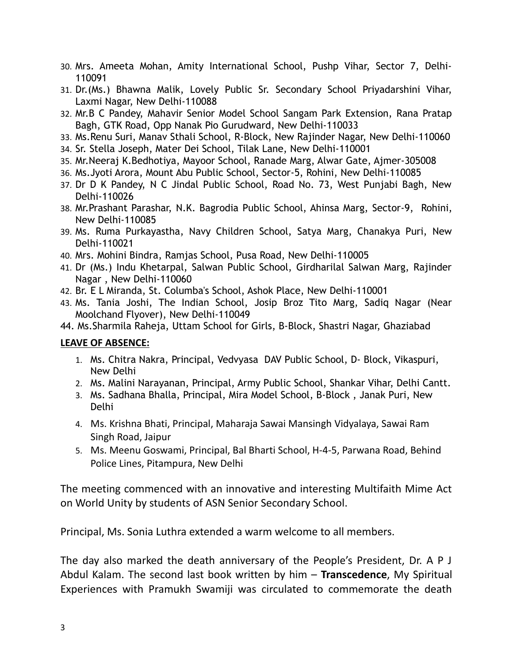- 30. Mrs. Ameeta Mohan, Amity International School, Pushp Vihar, Sector 7, Delhi-110091
- 31. Dr.(Ms.) Bhawna Malik, Lovely Public Sr. Secondary School Priyadarshini Vihar, Laxmi Nagar, New Delhi-110088
- 32. Mr.B C Pandey, Mahavir Senior Model School Sangam Park Extension, Rana Pratap Bagh, GTK Road, Opp Nanak Pio Gurudward, New Delhi-110033
- 33. Ms.Renu Suri, Manav Sthali School, R-Block, New Rajinder Nagar, New Delhi-110060
- 34. Sr. Stella Joseph, Mater Dei School, Tilak Lane, New Delhi-110001
- 35. Mr.Neeraj K.Bedhotiya, Mayoor School, Ranade Marg, Alwar Gate, Ajmer-305008
- 36. Ms.Jyoti Arora, Mount Abu Public School, Sector-5, Rohini, New Delhi-110085
- 37. Dr D K Pandey, N C Jindal Public School, Road No. 73, West Punjabi Bagh, New Delhi-110026
- 38. Mr.Prashant Parashar, N.K. Bagrodia Public School, Ahinsa Marg, Sector-9, Rohini, New Delhi-110085
- 39. Ms. Ruma Purkayastha, Navy Children School, Satya Marg, Chanakya Puri, New Delhi-110021
- 40. Mrs. Mohini Bindra, Ramjas School, Pusa Road, New Delhi-110005
- 41. Dr (Ms.) Indu Khetarpal, Salwan Public School, Girdharilal Salwan Marg, Rajinder Nagar , New Delhi-110060
- 42. Br. E L Miranda, St. Columba's School, Ashok Place, New Delhi-110001
- 43. Ms. Tania Joshi, The Indian School, Josip Broz Tito Marg, Sadiq Nagar (Near Moolchand Flyover), New Delhi-110049
- 44. Ms.Sharmila Raheja, Uttam School for Girls, B-Block, Shastri Nagar, Ghaziabad

#### **LEAVE OF ABSENCE:**

- 1. Ms. Chitra Nakra, Principal, Vedvyasa DAV Public School, D- Block, Vikaspuri, New Delhi
- 2. Ms. Malini Narayanan, Principal, Army Public School, Shankar Vihar, Delhi Cantt.
- 3. Ms. Sadhana Bhalla, Principal, Mira Model School, B-Block , Janak Puri, New Delhi
- 4. Ms. Krishna Bhati, Principal, Maharaja Sawai Mansingh Vidyalaya, Sawai Ram Singh Road, Jaipur
- 5. Ms. Meenu Goswami, Principal, Bal Bharti School, H-4-5, Parwana Road, Behind Police Lines, Pitampura, New Delhi

The meeting commenced with an innovative and interesting Multifaith Mime Act on World Unity by students of ASN Senior Secondary School.

Principal, Ms. Sonia Luthra extended a warm welcome to all members.

The day also marked the death anniversary of the People's President, Dr. A P J Abdul Kalam. The second last book written by him – **Transcedence**, My Spiritual Experiences with Pramukh Swamiji was circulated to commemorate the death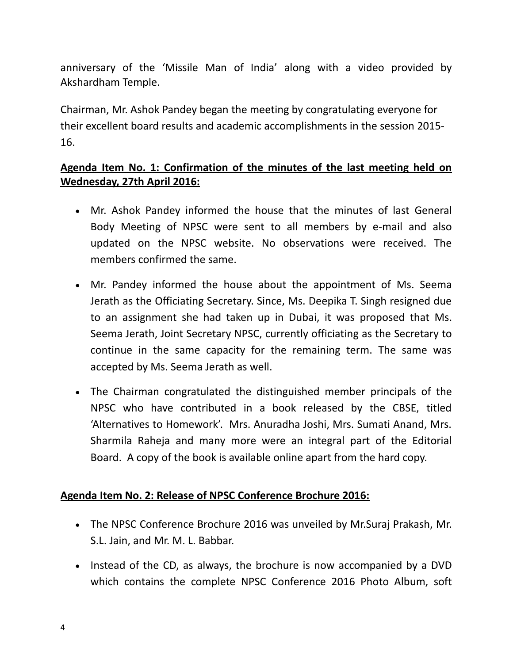anniversary of the 'Missile Man of India' along with a video provided by Akshardham Temple.

Chairman, Mr. Ashok Pandey began the meeting by congratulating everyone for their excellent board results and academic accomplishments in the session 2015- 16.

# **Agenda Item No. 1: Confirmation of the minutes of the last meeting held on Wednesday, 27th April 2016:**

- Mr. Ashok Pandey informed the house that the minutes of last General Body Meeting of NPSC were sent to all members by e-mail and also updated on the NPSC website. No observations were received. The members confirmed the same.
- Mr. Pandey informed the house about the appointment of Ms. Seema Jerath as the Officiating Secretary. Since, Ms. Deepika T. Singh resigned due to an assignment she had taken up in Dubai, it was proposed that Ms. Seema Jerath, Joint Secretary NPSC, currently officiating as the Secretary to continue in the same capacity for the remaining term. The same was accepted by Ms. Seema Jerath as well.
- The Chairman congratulated the distinguished member principals of the NPSC who have contributed in a book released by the CBSE, titled 'Alternatives to Homework'. Mrs. Anuradha Joshi, Mrs. Sumati Anand, Mrs. Sharmila Raheja and many more were an integral part of the Editorial Board. A copy of the book is available online apart from the hard copy.

## **Agenda Item No. 2: Release of NPSC Conference Brochure 2016:**

- The NPSC Conference Brochure 2016 was unveiled by Mr.Suraj Prakash, Mr. S.L. Jain, and Mr. M. L. Babbar.
- Instead of the CD, as always, the brochure is now accompanied by a DVD which contains the complete NPSC Conference 2016 Photo Album, soft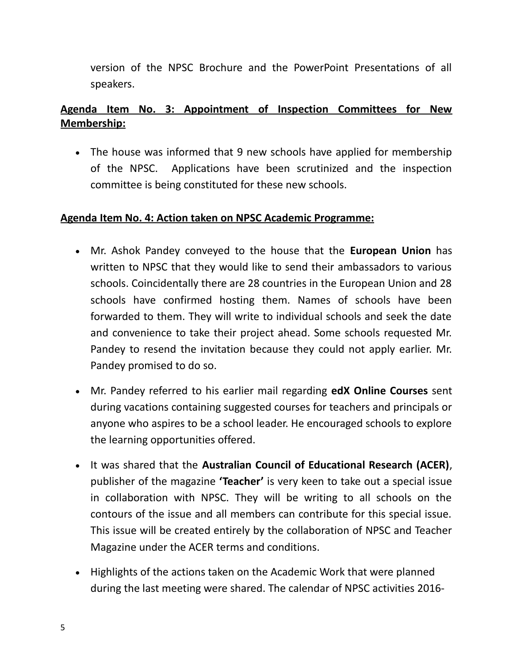version of the NPSC Brochure and the PowerPoint Presentations of all speakers.

# **Agenda Item No. 3: Appointment of Inspection Committees for New Membership:**

 The house was informed that 9 new schools have applied for membership of the NPSC. Applications have been scrutinized and the inspection committee is being constituted for these new schools.

# **Agenda Item No. 4: Action taken on NPSC Academic Programme:**

- Mr. Ashok Pandey conveyed to the house that the **European Union** has written to NPSC that they would like to send their ambassadors to various schools. Coincidentally there are 28 countries in the European Union and 28 schools have confirmed hosting them. Names of schools have been forwarded to them. They will write to individual schools and seek the date and convenience to take their project ahead. Some schools requested Mr. Pandey to resend the invitation because they could not apply earlier. Mr. Pandey promised to do so.
- Mr. Pandey referred to his earlier mail regarding **edX Online Courses** sent during vacations containing suggested courses for teachers and principals or anyone who aspires to be a school leader. He encouraged schools to explore the learning opportunities offered.
- It was shared that the **Australian Council of Educational Research (ACER)**, publisher of the magazine **'Teacher'** is very keen to take out a special issue in collaboration with NPSC. They will be writing to all schools on the contours of the issue and all members can contribute for this special issue. This issue will be created entirely by the collaboration of NPSC and Teacher Magazine under the ACER terms and conditions.
- Highlights of the actions taken on the Academic Work that were planned during the last meeting were shared. The calendar of NPSC activities 2016-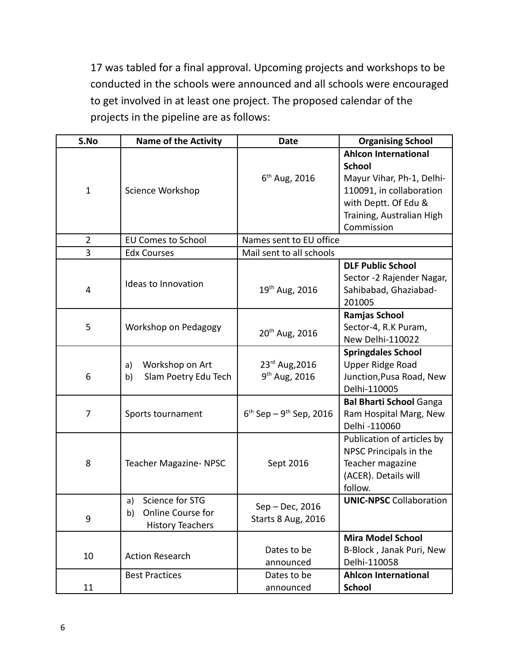17 was tabled for a final approval. Upcoming projects and workshops to be conducted in the schools were announced and all schools were encouraged to get involved in at least one project. The proposed calendar of the projects in the pipeline are as follows:

| S.No           | <b>Name of the Activity</b>                                                 | <b>Date</b>                                  | <b>Organising School</b>                                                                                                                                                 |
|----------------|-----------------------------------------------------------------------------|----------------------------------------------|--------------------------------------------------------------------------------------------------------------------------------------------------------------------------|
| $\mathbf{1}$   | Science Workshop                                                            | $6^{th}$ Aug, 2016                           | <b>Ahlcon International</b><br><b>School</b><br>Mayur Vihar, Ph-1, Delhi-<br>110091, in collaboration<br>with Deptt. Of Edu &<br>Training, Australian High<br>Commission |
| $\overline{2}$ | <b>EU Comes to School</b>                                                   | Names sent to EU office                      |                                                                                                                                                                          |
| 3              | <b>Edx Courses</b>                                                          | Mail sent to all schools                     |                                                                                                                                                                          |
| 4              | Ideas to Innovation                                                         | 19 <sup>th</sup> Aug, 2016                   | <b>DLF Public School</b><br>Sector -2 Rajender Nagar,<br>Sahibabad, Ghaziabad-<br>201005                                                                                 |
| 5              | Workshop on Pedagogy                                                        | 20 <sup>th</sup> Aug, 2016                   | Ramjas School<br>Sector-4, R.K Puram,<br>New Delhi-110022                                                                                                                |
| 6              | Workshop on Art<br>a)<br>Slam Poetry Edu Tech<br>b)                         | 23rd Aug, 2016<br>9 <sup>th</sup> Aug, 2016  | <b>Springdales School</b><br>Upper Ridge Road<br>Junction, Pusa Road, New<br>Delhi-110005                                                                                |
| 7              | Sports tournament                                                           | $6^{th}$ Sep – 9 <sup>th</sup> Sep, 2016     | <b>Bal Bharti School Ganga</b><br>Ram Hospital Marg, New<br>Delhi -110060                                                                                                |
| 8              | Teacher Magazine-NPSC                                                       | Sept 2016                                    | Publication of articles by<br>NPSC Principals in the<br>Teacher magazine<br>(ACER). Details will<br>follow.                                                              |
| 9              | Science for STG<br>a)<br>Online Course for<br>b)<br><b>History Teachers</b> | Sep – Dec, 2016<br><b>Starts 8 Aug, 2016</b> | <b>UNIC-NPSC</b> Collaboration                                                                                                                                           |
| 10             | <b>Action Research</b>                                                      | Dates to be<br>announced                     | <b>Mira Model School</b><br>B-Block, Janak Puri, New<br>Delhi-110058                                                                                                     |
| 11             | <b>Best Practices</b>                                                       | Dates to be<br>announced                     | <b>Ahlcon International</b><br><b>School</b>                                                                                                                             |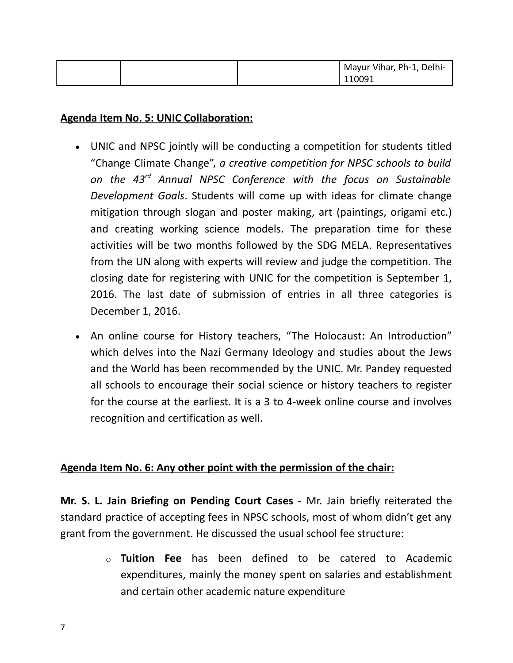|  | Mayur Vihar, Ph-1, Delhi- |
|--|---------------------------|
|  | 110091                    |

#### **Agenda Item No. 5: UNIC Collaboration:**

- UNIC and NPSC jointly will be conducting a competition for students titled "Change Climate Change", *a creative competition for NPSC schools to build on the 43rd Annual NPSC Conference with the focus on Sustainable Development Goals*. Students will come up with ideas for climate change mitigation through slogan and poster making, art (paintings, origami etc.) and creating working science models. The preparation time for these activities will be two months followed by the SDG MELA. Representatives from the UN along with experts will review and judge the competition. The closing date for registering with UNIC for the competition is September 1, 2016. The last date of submission of entries in all three categories is December 1, 2016.
- An online course for History teachers, "The Holocaust: An Introduction" which delves into the Nazi Germany Ideology and studies about the Jews and the World has been recommended by the UNIC. Mr. Pandey requested all schools to encourage their social science or history teachers to register for the course at the earliest. It is a 3 to 4-week online course and involves recognition and certification as well.

## **Agenda Item No. 6: Any other point with the permission of the chair:**

**Mr. S. L. Jain Briefing on Pending Court Cases -** Mr. Jain briefly reiterated the standard practice of accepting fees in NPSC schools, most of whom didn't get any grant from the government. He discussed the usual school fee structure:

> o **Tuition Fee** has been defined to be catered to Academic expenditures, mainly the money spent on salaries and establishment and certain other academic nature expenditure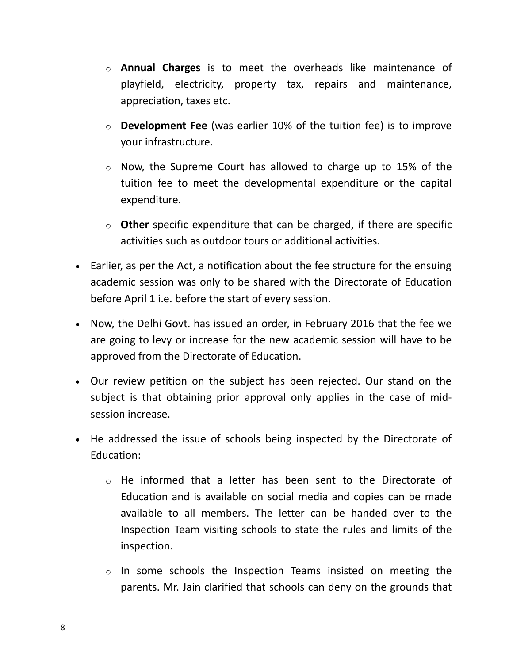- o **Annual Charges** is to meet the overheads like maintenance of playfield, electricity, property tax, repairs and maintenance, appreciation, taxes etc.
- o **Development Fee** (was earlier 10% of the tuition fee) is to improve your infrastructure.
- o Now, the Supreme Court has allowed to charge up to 15% of the tuition fee to meet the developmental expenditure or the capital expenditure.
- o **Other** specific expenditure that can be charged, if there are specific activities such as outdoor tours or additional activities.
- Earlier, as per the Act, a notification about the fee structure for the ensuing academic session was only to be shared with the Directorate of Education before April 1 i.e. before the start of every session.
- Now, the Delhi Govt. has issued an order, in February 2016 that the fee we are going to levy or increase for the new academic session will have to be approved from the Directorate of Education.
- Our review petition on the subject has been rejected. Our stand on the subject is that obtaining prior approval only applies in the case of midsession increase.
- He addressed the issue of schools being inspected by the Directorate of Education:
	- o He informed that a letter has been sent to the Directorate of Education and is available on social media and copies can be made available to all members. The letter can be handed over to the Inspection Team visiting schools to state the rules and limits of the inspection.
	- o In some schools the Inspection Teams insisted on meeting the parents. Mr. Jain clarified that schools can deny on the grounds that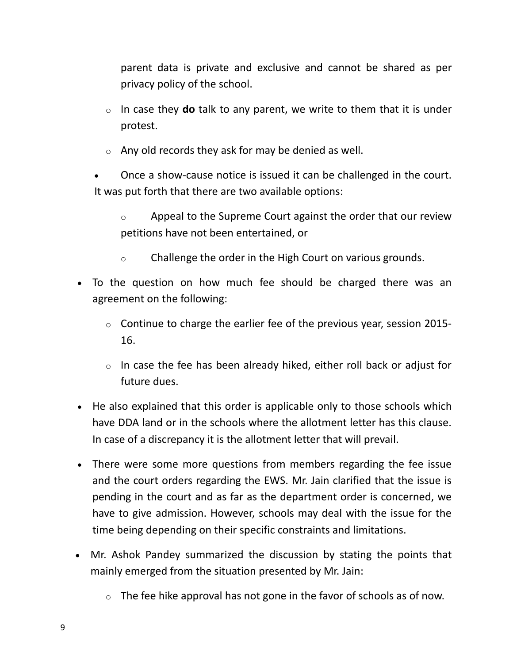parent data is private and exclusive and cannot be shared as per privacy policy of the school.

- o In case they **do** talk to any parent, we write to them that it is under protest.
- $\circ$  Any old records they ask for may be denied as well.
- Once a show-cause notice is issued it can be challenged in the court. It was put forth that there are two available options:
	- $\circ$  Appeal to the Supreme Court against the order that our review petitions have not been entertained, or
	- o Challenge the order in the High Court on various grounds.
- To the question on how much fee should be charged there was an agreement on the following:
	- $\circ$  Continue to charge the earlier fee of the previous year, session 2015-16.
	- $\circ$  In case the fee has been already hiked, either roll back or adjust for future dues.
- He also explained that this order is applicable only to those schools which have DDA land or in the schools where the allotment letter has this clause. In case of a discrepancy it is the allotment letter that will prevail.
- There were some more questions from members regarding the fee issue and the court orders regarding the EWS. Mr. Jain clarified that the issue is pending in the court and as far as the department order is concerned, we have to give admission. However, schools may deal with the issue for the time being depending on their specific constraints and limitations.
- Mr. Ashok Pandey summarized the discussion by stating the points that mainly emerged from the situation presented by Mr. Jain:
	- $\circ$  The fee hike approval has not gone in the favor of schools as of now.